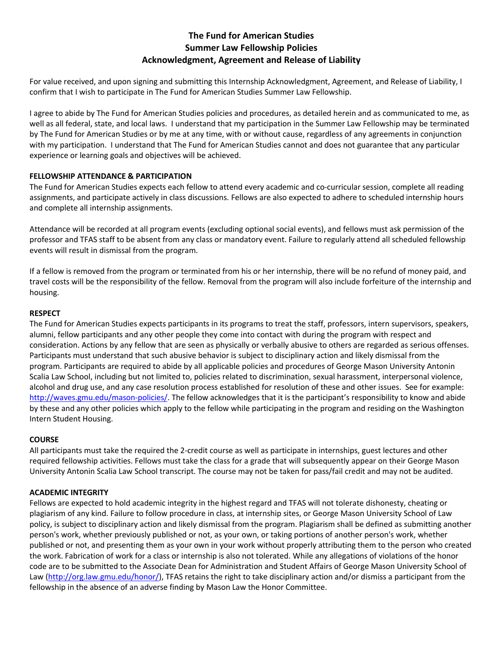# **The Fund for American Studies Summer Law Fellowship Policies Acknowledgment, Agreement and Release of Liability**

For value received, and upon signing and submitting this Internship Acknowledgment, Agreement, and Release of Liability, I confirm that I wish to participate in The Fund for American Studies Summer Law Fellowship.

I agree to abide by The Fund for American Studies policies and procedures, as detailed herein and as communicated to me, as well as all federal, state, and local laws. I understand that my participation in the Summer Law Fellowship may be terminated by The Fund for American Studies or by me at any time, with or without cause, regardless of any agreements in conjunction with my participation. I understand that The Fund for American Studies cannot and does not guarantee that any particular experience or learning goals and objectives will be achieved.

# **FELLOWSHIP ATTENDANCE & PARTICIPATION**

The Fund for American Studies expects each fellow to attend every academic and co-curricular session, complete all reading assignments, and participate actively in class discussions. Fellows are also expected to adhere to scheduled internship hours and complete all internship assignments.

Attendance will be recorded at all program events (excluding optional social events), and fellows must ask permission of the professor and TFAS staff to be absent from any class or mandatory event. Failure to regularly attend all scheduled fellowship events will result in dismissal from the program.

If a fellow is removed from the program or terminated from his or her internship, there will be no refund of money paid, and travel costs will be the responsibility of the fellow. Removal from the program will also include forfeiture of the internship and housing.

# **RESPECT**

The Fund for American Studies expects participants in its programs to treat the staff, professors, intern supervisors, speakers, alumni, fellow participants and any other people they come into contact with during the program with respect and consideration. Actions by any fellow that are seen as physically or verbally abusive to others are regarded as serious offenses. Participants must understand that such abusive behavior is subject to disciplinary action and likely dismissal from the program. Participants are required to abide by all applicable policies and procedures of George Mason University Antonin Scalia Law School, including but not limited to, policies related to discrimination, sexual harassment, interpersonal violence, alcohol and drug use, and any case resolution process established for resolution of these and other issues. See for example: [http://waves.gmu.edu/mason-policies/.](http://waves.gmu.edu/mason-policies/) The fellow acknowledges that it is the participant's responsibility to know and abide by these and any other policies which apply to the fellow while participating in the program and residing on the Washington Intern Student Housing.

# **COURSE**

All participants must take the required the 2-credit course as well as participate in internships, guest lectures and other required fellowship activities. Fellows must take the class for a grade that will subsequently appear on their George Mason University Antonin Scalia Law School transcript. The course may not be taken for pass/fail credit and may not be audited.

# **ACADEMIC INTEGRITY**

Fellows are expected to hold academic integrity in the highest regard and TFAS will not tolerate dishonesty, cheating or plagiarism of any kind. Failure to follow procedure in class, at internship sites, or George Mason University School of Law policy, is subject to disciplinary action and likely dismissal from the program. Plagiarism shall be defined as submitting another person's work, whether previously published or not, as your own, or taking portions of another person's work, whether published or not, and presenting them as your own in your work without properly attributing them to the person who created the work. Fabrication of work for a class or internship is also not tolerated. While any allegations of violations of the honor code are to be submitted to the Associate Dean for Administration and Student Affairs of George Mason University School of Law [\(http://org.law.gmu.edu/honor/\)](http://org.law.gmu.edu/honor/). TFAS retains the right to take disciplinary action and/or dismiss a participant from the fellowship in the absence of an adverse finding by Mason Law the Honor Committee.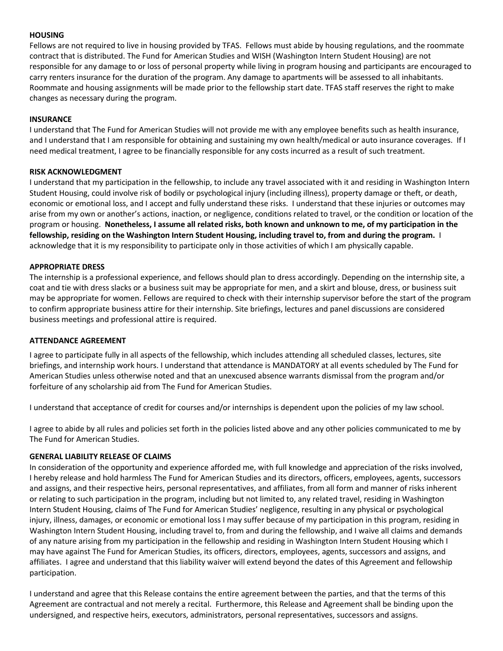#### **HOUSING**

Fellows are not required to live in housing provided by TFAS. Fellows must abide by housing regulations, and the roommate contract that is distributed. The Fund for American Studies and WISH (Washington Intern Student Housing) are not responsible for any damage to or loss of personal property while living in program housing and participants are encouraged to carry renters insurance for the duration of the program. Any damage to apartments will be assessed to all inhabitants. Roommate and housing assignments will be made prior to the fellowship start date. TFAS staff reserves the right to make changes as necessary during the program.

## **INSURANCE**

I understand that The Fund for American Studies will not provide me with any employee benefits such as health insurance, and I understand that I am responsible for obtaining and sustaining my own health/medical or auto insurance coverages. If I need medical treatment, I agree to be financially responsible for any costs incurred as a result of such treatment.

## **RISK ACKNOWLEDGMENT**

I understand that my participation in the fellowship, to include any travel associated with it and residing in Washington Intern Student Housing, could involve risk of bodily or psychological injury (including illness), property damage or theft, or death, economic or emotional loss, and I accept and fully understand these risks. I understand that these injuries or outcomes may arise from my own or another's actions, inaction, or negligence, conditions related to travel, or the condition or location of the program or housing. **Nonetheless, I assume all related risks, both known and unknown to me, of my participation in the fellowship, residing on the Washington Intern Student Housing, including travel to, from and during the program.** I acknowledge that it is my responsibility to participate only in those activities of which I am physically capable.

#### **APPROPRIATE DRESS**

The internship is a professional experience, and fellows should plan to dress accordingly. Depending on the internship site, a coat and tie with dress slacks or a business suit may be appropriate for men, and a skirt and blouse, dress, or business suit may be appropriate for women. Fellows are required to check with their internship supervisor before the start of the program to confirm appropriate business attire for their internship. Site briefings, lectures and panel discussions are considered business meetings and professional attire is required.

#### **ATTENDANCE AGREEMENT**

I agree to participate fully in all aspects of the fellowship, which includes attending all scheduled classes, lectures, site briefings, and internship work hours. I understand that attendance is MANDATORY at all events scheduled by The Fund for American Studies unless otherwise noted and that an unexcused absence warrants dismissal from the program and/or forfeiture of any scholarship aid from The Fund for American Studies.

I understand that acceptance of credit for courses and/or internships is dependent upon the policies of my law school.

I agree to abide by all rules and policies set forth in the policies listed above and any other policies communicated to me by The Fund for American Studies.

## **GENERAL LIABILITY RELEASE OF CLAIMS**

In consideration of the opportunity and experience afforded me, with full knowledge and appreciation of the risks involved, I hereby release and hold harmless The Fund for American Studies and its directors, officers, employees, agents, successors and assigns, and their respective heirs, personal representatives, and affiliates, from all form and manner of risks inherent or relating to such participation in the program, including but not limited to, any related travel, residing in Washington Intern Student Housing, claims of The Fund for American Studies' negligence, resulting in any physical or psychological injury, illness, damages, or economic or emotional loss I may suffer because of my participation in this program, residing in Washington Intern Student Housing, including travel to, from and during the fellowship, and I waive all claims and demands of any nature arising from my participation in the fellowship and residing in Washington Intern Student Housing which I may have against The Fund for American Studies, its officers, directors, employees, agents, successors and assigns, and affiliates. I agree and understand that this liability waiver will extend beyond the dates of this Agreement and fellowship participation.

I understand and agree that this Release contains the entire agreement between the parties, and that the terms of this Agreement are contractual and not merely a recital. Furthermore, this Release and Agreement shall be binding upon the undersigned, and respective heirs, executors, administrators, personal representatives, successors and assigns.